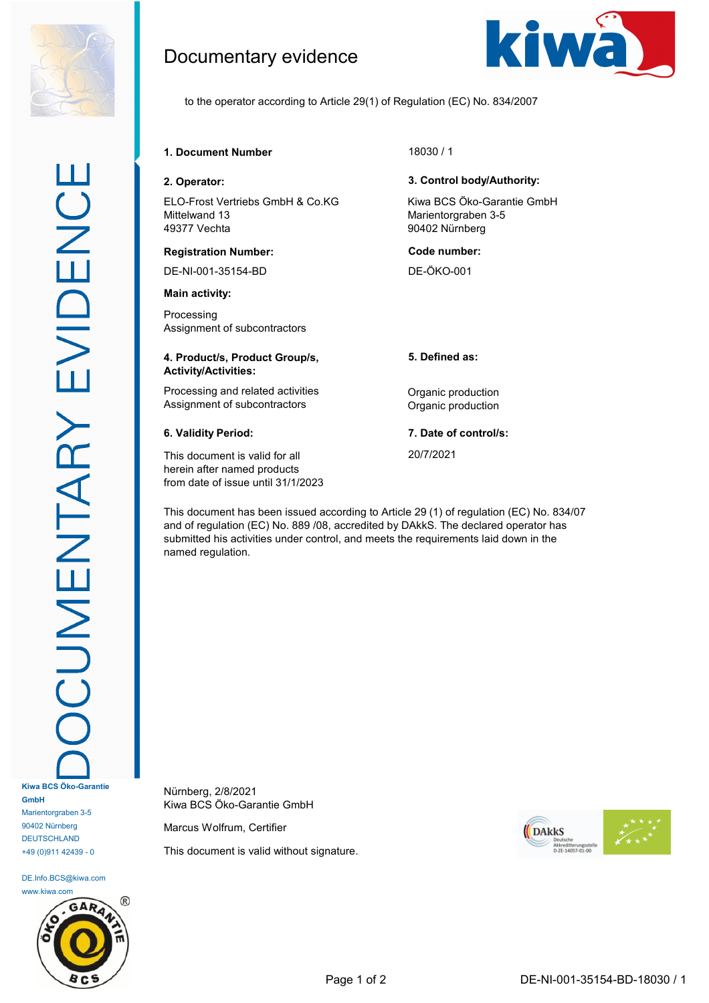

DE.Info.BCS@kiwa.com www.kiwa.com



Documentary evidence



to the operator according to Article 29(1) of Regulation (EC) No. 834/2007

# **1. Document Number** 18030 / 1

ELO-Frost Vertriebs GmbH & Co.KG Mittelwand 13 49377 Vechta

### **Registration Number: Code number:**

DE-NI-001-35154-BD DE-ÖKO-001

**Main activity:**

Processing Assignment of subcontractors

### **4. Product/s, Product Group/s, Activity/Activities:**

Processing and related activities **Constanting Contract Processing and related activities Constanting Constanting Constanting Constanting Constanting Processing and related activities** Assignment of subcontractors **Contractors** Organic production

This document is valid for all herein after named products from date of issue until 31/1/2023

## **2. Operator: 3. Control body/Authority:**

Kiwa BCS Öko-Garantie GmbH Marientorgraben 3-5 90402 Nürnberg

**5. Defined as:**

**6. Validity Period: 7. Date of control/s:**

20/7/2021

This document has been issued according to Article 29 (1) of regulation (EC) No. 834/07 and of regulation (EC) No. 889 /08, accredited by DAkkS. The declared operator has submitted his activities under control, and meets the requirements laid down in the named regulation.

Nürnberg, 2/8/2021 Kiwa BCS Öko-Garantie GmbH

Marcus Wolfrum, Certifier

This document is valid without signature.